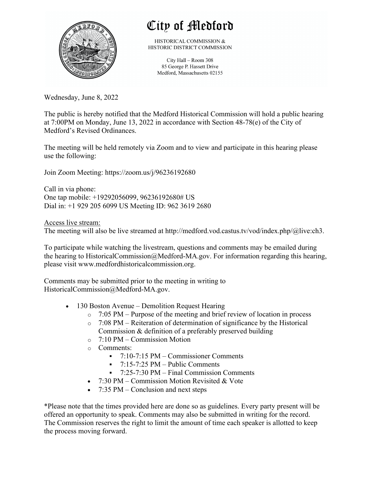

## City of Medford

HISTORICAL COMMISSION & HISTORIC DISTRICT COMMISSION

> City Hall - Room 308 85 George P. Hassett Drive Medford, Massachusetts 02155

Wednesday, June 8, 2022

The public is hereby notified that the Medford Historical Commission will hold a public hearing at 7:00PM on Monday, June 13, 2022 in accordance with Section 48-78(e) of the City of Medford's Revised Ordinances.

The meeting will be held remotely via Zoom and to view and participate in this hearing please use the following:

Join Zoom Meeting: https://zoom.us/j/96236192680

Call in via phone: One tap mobile: +19292056099, 96236192680# US Dial in: +1 929 205 6099 US Meeting ID: 962 3619 2680

Access live stream: The meeting will also be live streamed at http://medford.vod.castus.tv/vod/index.php/@live:ch3.

To participate while watching the livestream, questions and comments may be emailed during the hearing to HistoricalCommission@Medford-MA.gov. For information regarding this hearing, please visit www.medfordhistoricalcommission.org.

Comments may be submitted prior to the meeting in writing to HistoricalCommission@Medford-MA.gov.

- 130 Boston Avenue Demolition Request Hearing
	- $\circ$  7:05 PM Purpose of the meeting and brief review of location in process
	- o 7:08 PM Reiteration of determination of significance by the Historical Commission & definition of a preferably preserved building
	- o 7:10 PM Commission Motion
	- o Comments:
		- § 7:10-7:15 PM Commissioner Comments
		- $\blacksquare$  7:15-7:25 PM Public Comments
		- § 7:25-7:30 PM Final Commission Comments
	- 7:30 PM Commission Motion Revisited & Vote
	- 7:35 PM Conclusion and next steps

\*Please note that the times provided here are done so as guidelines. Every party present will be offered an opportunity to speak. Comments may also be submitted in writing for the record. The Commission reserves the right to limit the amount of time each speaker is allotted to keep the process moving forward.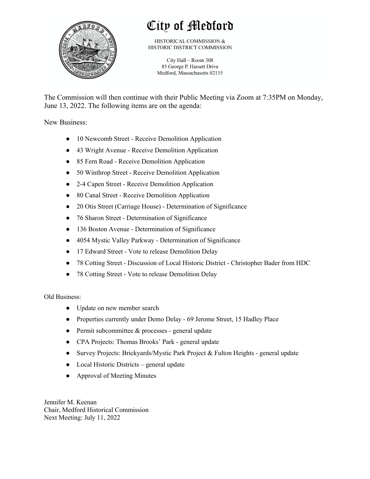

## City of Medford

HISTORICAL COMMISSION & HISTORIC DISTRICT COMMISSION

City Hall - Room 308 85 George P. Hassett Drive Medford, Massachusetts 02155

The Commission will then continue with their Public Meeting via Zoom at 7:35PM on Monday, June 13, 2022. The following items are on the agenda:

New Business:

- 10 Newcomb Street Receive Demolition Application
- 43 Wright Avenue Receive Demolition Application
- 85 Fern Road Receive Demolition Application
- 50 Winthrop Street Receive Demolition Application
- 2-4 Capen Street Receive Demolition Application
- 80 Canal Street Receive Demolition Application
- 20 Otis Street (Carriage House) Determination of Significance
- 76 Sharon Street Determination of Significance
- 136 Boston Avenue Determination of Significance
- 4054 Mystic Valley Parkway Determination of Significance
- 17 Edward Street Vote to release Demolition Delay
- 78 Cotting Street Discussion of Local Historic District Christopher Bader from HDC
- 78 Cotting Street Vote to release Demolition Delay

Old Business:

- Update on new member search
- Properties currently under Demo Delay 69 Jerome Street, 15 Hadley Place
- $\bullet$  Permit subcommittee & processes general update
- CPA Projects: Thomas Brooks' Park general update
- Survey Projects: Brickyards/Mystic Park Project & Fulton Heights general update
- Local Historic Districts general update
- Approval of Meeting Minutes

Jennifer M. Keenan Chair, Medford Historical Commission Next Meeting: July 11, 2022